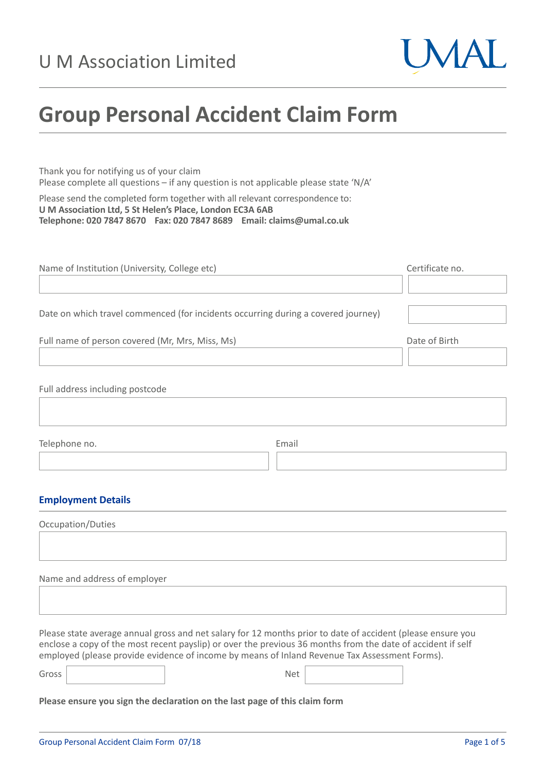

# **Group Personal Accident Claim Form**

Thank you for notifying us of your claim Please complete all questions – if any question is not applicable please state 'N/A'

Please send the completed form together with all relevant correspondence to: **U M Association Ltd, 5 St Helen's Place, London EC3A 6AB Telephone: 020 7847 8670 Fax: 020 7847 8689 Email: claims@umal.co.uk**

| Name of Institution (University, College etc)                                     | Certificate no. |
|-----------------------------------------------------------------------------------|-----------------|
|                                                                                   |                 |
| Date on which travel commenced (for incidents occurring during a covered journey) |                 |
| Full name of person covered (Mr, Mrs, Miss, Ms)                                   | Date of Birth   |
|                                                                                   |                 |
| Full address including postcode                                                   |                 |
|                                                                                   |                 |

Telephone no. **Email** 

# **Employment Details**

| Occupation/Duties |  |  |
|-------------------|--|--|
|                   |  |  |
|                   |  |  |

Name and address of employer

Please state average annual gross and net salary for 12 months prior to date of accident (please ensure you enclose a copy of the most recent payslip) or over the previous 36 months from the date of accident if self employed (please provide evidence of income by means of Inland Revenue Tax Assessment Forms).

Gross Net

**Please ensure you sign the declaration on the last page of this claim form**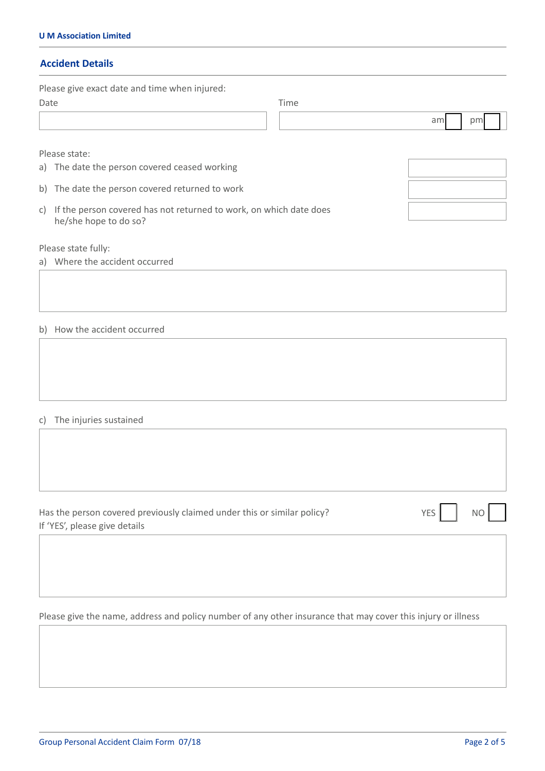# **Accident Details**

|      | Please give exact date and time when injured:                                               |
|------|---------------------------------------------------------------------------------------------|
| Date | Time                                                                                        |
|      | am<br>pm                                                                                    |
|      | Please state:                                                                               |
|      | a) The date the person covered ceased working                                               |
|      | b) The date the person covered returned to work                                             |
| C)   | If the person covered has not returned to work, on which date does<br>he/she hope to do so? |
|      | Please state fully:                                                                         |
|      | a) Where the accident occurred                                                              |
|      |                                                                                             |
|      | b) How the accident occurred                                                                |
|      |                                                                                             |

# c) The injuries sustained

| Has the person covered previously claimed under this or similar policy? | YES <sup>I</sup><br><b>NO</b> |
|-------------------------------------------------------------------------|-------------------------------|
| If 'YES', please give details                                           |                               |

Please give the name, address and policy number of any other insurance that may cover this injury or illness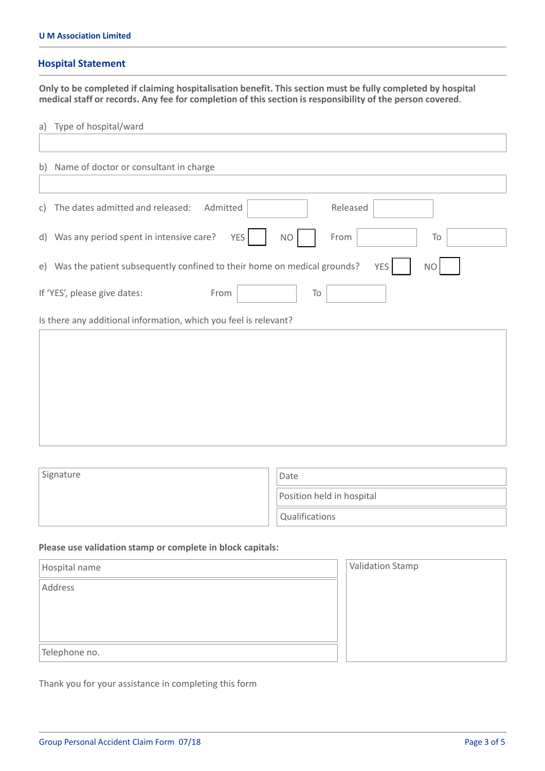#### **Hospital Statement**

**Only to be completed if claiming hospitalisation benefit. This section must be fully completed by hospital medical staff or records. Any fee for completion of this section is responsibility of the person covered**.

a) Type of hospital/ward

| b) Name of doctor or consultant in charge                                                             |
|-------------------------------------------------------------------------------------------------------|
|                                                                                                       |
| Released<br>The dates admitted and released:<br>Admitted<br>C)                                        |
| d) Was any period spent in intensive care?<br>YES<br>From<br><b>NO</b><br>To                          |
| e) Was the patient subsequently confined to their home on medical grounds?<br><b>YES</b><br><b>NO</b> |
| If 'YES', please give dates:<br>From<br>To                                                            |
| Is there any additional information, which you feel is relevant?                                      |
|                                                                                                       |
|                                                                                                       |
|                                                                                                       |
|                                                                                                       |
|                                                                                                       |

| Signature | Date                      |
|-----------|---------------------------|
|           | Position held in hospital |
|           | Qualifications            |

#### **Please use validation stamp or complete in block capitals:**

| Hospital name | <b>Validation Stamp</b> |
|---------------|-------------------------|
| Address       |                         |
|               |                         |
|               |                         |
|               |                         |
| Telephone no. |                         |

Thank you for your assistance in completing this form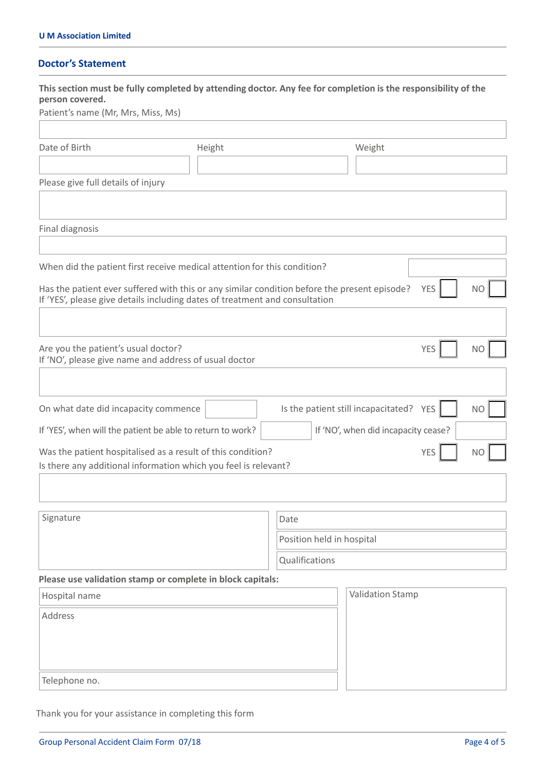# **Doctor's Statement**

| This section must be fully completed by attending doctor. Any fee for completion is the responsibility of the<br>person covered.<br>Patient's name (Mr, Mrs, Miss, Ms)      |        |                           |                                     |            |                |
|-----------------------------------------------------------------------------------------------------------------------------------------------------------------------------|--------|---------------------------|-------------------------------------|------------|----------------|
| Date of Birth                                                                                                                                                               | Height |                           | Weight                              |            |                |
|                                                                                                                                                                             |        |                           |                                     |            |                |
| Please give full details of injury                                                                                                                                          |        |                           |                                     |            |                |
| Final diagnosis                                                                                                                                                             |        |                           |                                     |            |                |
| When did the patient first receive medical attention for this condition?                                                                                                    |        |                           |                                     |            |                |
| Has the patient ever suffered with this or any similar condition before the present episode?<br>If 'YES', please give details including dates of treatment and consultation |        |                           |                                     | <b>YES</b> | <b>NO</b>      |
| Are you the patient's usual doctor?<br>If 'NO', please give name and address of usual doctor                                                                                |        |                           |                                     | <b>YES</b> | <b>NO</b>      |
| On what date did incapacity commence                                                                                                                                        |        |                           | Is the patient still incapacitated? | <b>YES</b> | N <sub>O</sub> |
| If 'YES', when will the patient be able to return to work?                                                                                                                  |        |                           | If 'NO', when did incapacity cease? |            |                |
| Was the patient hospitalised as a result of this condition?<br>Is there any additional information which you feel is relevant?                                              |        |                           |                                     | <b>YES</b> | <b>NO</b>      |
|                                                                                                                                                                             |        |                           |                                     |            |                |
| Signature                                                                                                                                                                   |        | Date                      |                                     |            |                |
|                                                                                                                                                                             |        | Position held in hospital |                                     |            |                |
|                                                                                                                                                                             |        | Qualifications            |                                     |            |                |
| Please use validation stamp or complete in block capitals:                                                                                                                  |        |                           |                                     |            |                |
| Hospital name                                                                                                                                                               |        |                           | <b>Validation Stamp</b>             |            |                |
| Address                                                                                                                                                                     |        |                           |                                     |            |                |
| Telephone no.                                                                                                                                                               |        |                           |                                     |            |                |

Thank you for your assistance in completing this form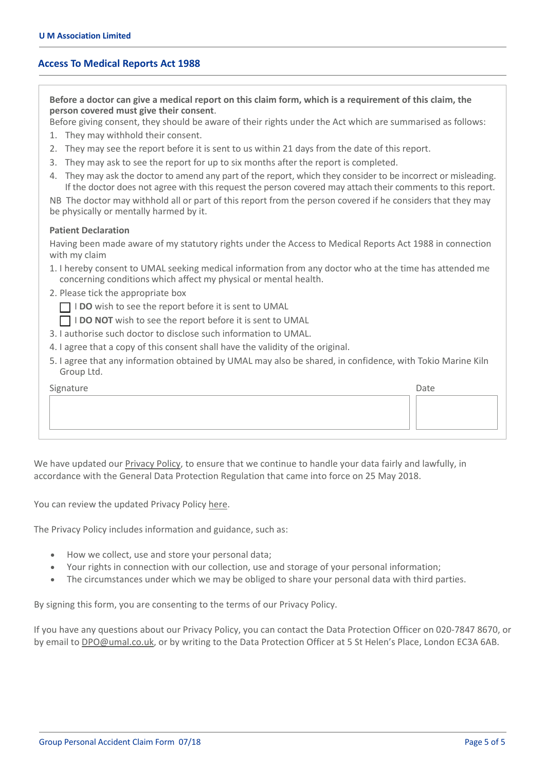#### **Access To Medical Reports Act 1988**

Before a doctor can give a medical report on this claim form, which is a requirement of this claim, the **person covered must give their consent**.

Before giving consent, they should be aware of their rights under the Act which are summarised as follows:

- 1. They may withhold their consent.
- 2. They may see the report before it is sent to us within 21 days from the date of this report.
- 3. They may ask to see the report for up to six months after the report is completed.
- 4. They may ask the doctor to amend any part of the report, which they consider to be incorrect or misleading. If the doctor does not agree with this request the person covered may attach their comments to this report.

NB The doctor may withhold all or part of this report from the person covered if he considers that they may be physically or mentally harmed by it.

#### **Patient Declaration**

Having been made aware of my statutory rights under the Access to Medical Reports Act 1988 in connection with my claim

- 1. I hereby consent to UMAL seeking medical information from any doctor who at the time has attended me concerning conditions which affect my physical or mental health.
- 2. Please tick the appropriate box

**I DO** wish to see the report before it is sent to UMAL

- I **DO NOT** wish to see the report before it is sent to UMAL
- 3. I authorise such doctor to disclose such information to UMAL.
- 4. I agree that a copy of this consent shall have the validity of the original.
- 5. I agree that any information obtained by UMAL may also be shared, in confidence, with Tokio Marine Kiln Group Ltd.

| Signature | Date |
|-----------|------|
|           |      |
|           |      |
|           |      |

We have updated our [Privacy](https://umal.co.uk/privacy-policy/) Policy, to ensure that we continue to handle your data fairly and lawfully, in accordance with the General Data Protection Regulation that came into force on 25 May 2018.

You can review the updated Privacy Policy [here.](https://umal.co.uk/privacy-policy/)

The Privacy Policy includes information and guidance, such as:

- How we collect, use and store your personal data;
- Your rights in connection with our collection, use and storage of your personal information;
- The circumstances under which we may be obliged to share your personal data with third parties.

By signing this form, you are consenting to the terms of our Privacy Policy.

If you have any questions about our Privacy Policy, you can contact the Data Protection Officer on 020‐7847 8670, or by email to DPO@umal.co.uk, or by writing to the Data Protection Officer at 5 St Helen's Place, London EC3A 6AB.